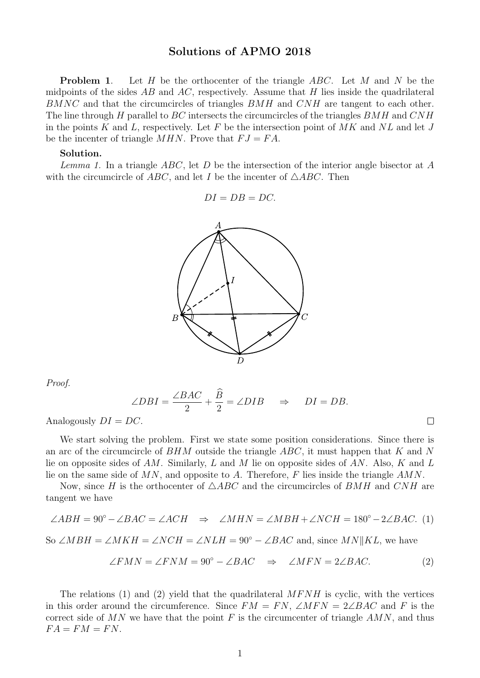## Solutions of APMO 2018

**Problem 1.** Let H be the orthocenter of the triangle  $ABC$ . Let M and N be the midpoints of the sides  $AB$  and  $AC$ , respectively. Assume that H lies inside the quadrilateral BMNC and that the circumcircles of triangles BMH and CNH are tangent to each other. The line through H parallel to  $BC$  intersects the circumcircles of the triangles  $BMH$  and  $CNH$ in the points K and L, respectively. Let F be the intersection point of  $MK$  and  $NL$  and let J be the incenter of triangle  $MHN$ . Prove that  $FJ = FA$ .

## Solution.

Lemma 1. In a triangle  $ABC$ , let D be the intersection of the interior angle bisector at A with the circumcircle of ABC, and let I be the incenter of  $\triangle ABC$ . Then

$$
DI = DB = DC.
$$



Proof.

$$
\angle DBI = \frac{\angle BAC}{2} + \frac{\widehat{B}}{2} = \angle DIB \quad \Rightarrow \quad DI = DB.
$$

Analogously  $DI = DC$ .

We start solving the problem. First we state some position considerations. Since there is an arc of the circumcircle of  $BHM$  outside the triangle  $ABC$ , it must happen that K and N lie on opposite sides of AM. Similarly, L and M lie on opposite sides of AN. Also, K and L lie on the same side of  $MN$ , and opposite to A. Therefore, F lies inside the triangle  $AMN$ .

Now, since H is the orthocenter of  $\triangle ABC$  and the circumcircles of BMH and CNH are tangent we have

$$
\angle ABH = 90^{\circ} - \angle BAC = \angle ACH \Rightarrow \angle MHN = \angle MBH + \angle NCH = 180^{\circ} - 2\angle BAC.
$$
 (1)

So  $\angle MBH = \angle MKH = \angle NCH = \angle NLH = 90^{\circ} - \angle BAC$  and, since  $MN||KL$ , we have

$$
\angle FMN = \angle FNM = 90^{\circ} - \angle BAC \quad \Rightarrow \quad \angle MFN = 2\angle BAC. \tag{2}
$$

 $\Box$ 

The relations (1) and (2) yield that the quadrilateral  $MFNH$  is cyclic, with the vertices in this order around the circumference. Since  $FM = FN$ ,  $\angle MFN = 2\angle BAC$  and F is the correct side of  $MN$  we have that the point F is the circumcenter of triangle  $AMN$ , and thus  $FA = FM = FN$ .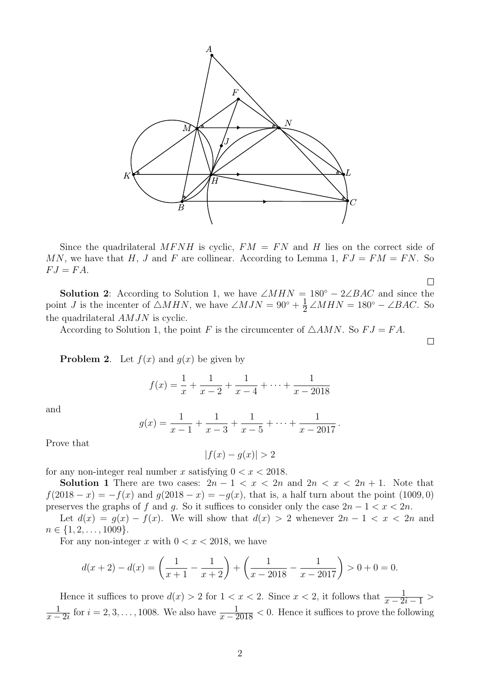

Since the quadrilateral MFNH is cyclic,  $FM = FN$  and H lies on the correct side of MN, we have that H, J and F are collinear. According to Lemma 1,  $FJ = FM = FN$ . So  $FJ = FA.$ 

 $\Box$ 

 $\Box$ 

**Solution 2:** According to Solution 1, we have  $\angle MHN = 180° - 2\angle BAC$  and since the point *J* is the incenter of  $\triangle MHN$ , we have  $\angle MJN = 90^{\circ} + \frac{1}{2}$  $\frac{1}{2} \angle MHN = 180^{\circ} - \angle BAC$ . So the quadrilateral AMJN is cyclic.

According to Solution 1, the point F is the circumcenter of  $\triangle AMN$ . So  $FJ = FA$ .

**Problem 2.** Let  $f(x)$  and  $q(x)$  be given by

$$
f(x) = \frac{1}{x} + \frac{1}{x-2} + \frac{1}{x-4} + \dots + \frac{1}{x-2018}
$$

and

$$
g(x) = \frac{1}{x-1} + \frac{1}{x-3} + \frac{1}{x-5} + \dots + \frac{1}{x-2017}.
$$

Prove that

 $|f(x) - q(x)| > 2$ 

for any non-integer real number x satisfying  $0 < x < 2018$ .

Solution 1 There are two cases:  $2n - 1 < x < 2n$  and  $2n < x < 2n + 1$ . Note that  $f(2018 - x) = -f(x)$  and  $g(2018 - x) = -g(x)$ , that is, a half turn about the point (1009,0) preserves the graphs of f and q. So it suffices to consider only the case  $2n - 1 < x < 2n$ .

Let  $d(x) = g(x) - f(x)$ . We will show that  $d(x) > 2$  whenever  $2n - 1 < x < 2n$  and  $n \in \{1, 2, \ldots, 1009\}.$ 

For any non-integer x with  $0 < x < 2018$ , we have

$$
d(x+2) - d(x) = \left(\frac{1}{x+1} - \frac{1}{x+2}\right) + \left(\frac{1}{x-2018} - \frac{1}{x-2017}\right) > 0 + 0 = 0.
$$

Hence it suffices to prove  $d(x) > 2$  for  $1 < x < 2$ . Since  $x < 2$ , it follows that  $\frac{1}{x-2i-1} >$ 1  $\frac{1}{x-2i}$  for  $i=2,3,\ldots,1008$ . We also have  $\frac{1}{x-2018} < 0$ . Hence it suffices to prove the following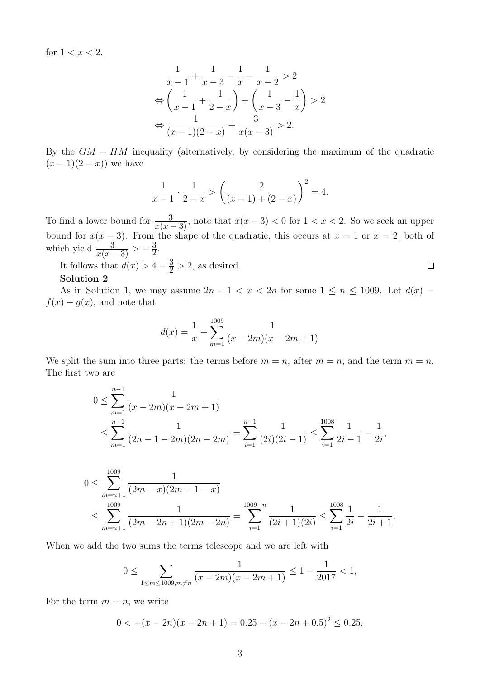for  $1 < x < 2$ .

$$
\frac{1}{x-1} + \frac{1}{x-3} - \frac{1}{x} - \frac{1}{x-2} > 2
$$
  

$$
\Leftrightarrow \left(\frac{1}{x-1} + \frac{1}{2-x}\right) + \left(\frac{1}{x-3} - \frac{1}{x}\right) > 2
$$
  

$$
\Leftrightarrow \frac{1}{(x-1)(2-x)} + \frac{3}{x(x-3)} > 2.
$$

By the  $GM - HM$  inequality (alternatively, by considering the maximum of the quadratic  $(x - 1)(2 - x)$  we have

$$
\frac{1}{x-1} \cdot \frac{1}{2-x} > \left(\frac{2}{(x-1)+(2-x)}\right)^2 = 4.
$$

To find a lower bound for  $\frac{3}{x(x-3)}$ , note that  $x(x-3) < 0$  for  $1 < x < 2$ . So we seek an upper bound for  $x(x-3)$ . From the shape of the quadratic, this occurs at  $x = 1$  or  $x = 2$ , both of which yield  $\frac{3}{x(x-3)} > -\frac{3}{2}$  $\frac{3}{2}$ .

It follows that  $d(x) > 4 - \frac{3}{2}$  $\frac{3}{2}$  > 2, as desired.

## Solution 2

As in Solution 1, we may assume  $2n - 1 < x < 2n$  for some  $1 \le n \le 1009$ . Let  $d(x) =$  $f(x) - g(x)$ , and note that

 $\Box$ 

$$
d(x) = \frac{1}{x} + \sum_{m=1}^{1009} \frac{1}{(x - 2m)(x - 2m + 1)}
$$

We split the sum into three parts: the terms before  $m = n$ , after  $m = n$ , and the term  $m = n$ . The first two are

$$
0 \le \sum_{m=1}^{n-1} \frac{1}{(x - 2m)(x - 2m + 1)}
$$
  

$$
\le \sum_{m=1}^{n-1} \frac{1}{(2n - 1 - 2m)(2n - 2m)} = \sum_{i=1}^{n-1} \frac{1}{(2i)(2i - 1)} \le \sum_{i=1}^{1008} \frac{1}{2i - 1} - \frac{1}{2i},
$$

$$
0 \le \sum_{m=n+1}^{1009} \frac{1}{(2m-x)(2m-1-x)}
$$
  
 
$$
\le \sum_{m=n+1}^{1009} \frac{1}{(2m-2n+1)(2m-2n)} = \sum_{i=1}^{1009-n} \frac{1}{(2i+1)(2i)} \le \sum_{i=1}^{1008} \frac{1}{2i} - \frac{1}{2i+1}.
$$

When we add the two sums the terms telescope and we are left with

$$
0 \le \sum_{1 \le m \le 1009, m \ne n} \frac{1}{(x - 2m)(x - 2m + 1)} \le 1 - \frac{1}{2017} < 1,
$$

For the term  $m = n$ , we write

$$
0 < -(x - 2n)(x - 2n + 1) = 0.25 - (x - 2n + 0.5)^{2} \le 0.25,
$$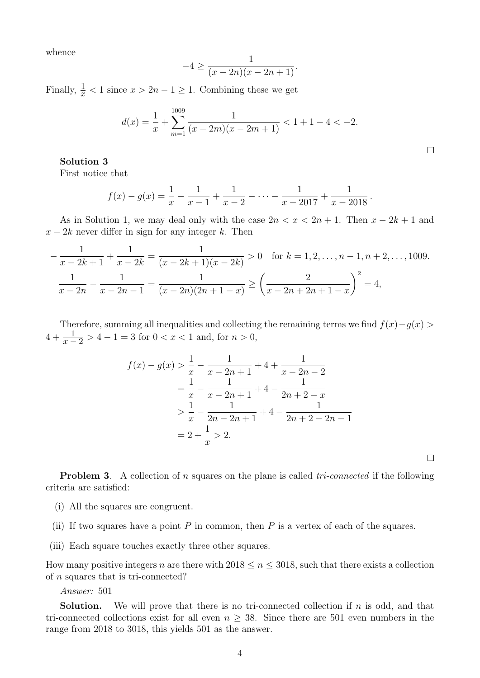whence

$$
-4 \ge \frac{1}{(x-2n)(x-2n+1)}.
$$

Finally,  $\frac{1}{x}$  < 1 since  $x > 2n - 1 \ge 1$ . Combining these we get

$$
d(x) = \frac{1}{x} + \sum_{m=1}^{1009} \frac{1}{(x - 2m)(x - 2m + 1)} < 1 + 1 - 4 < -2.
$$

## Solution 3

First notice that

$$
f(x) - g(x) = \frac{1}{x} - \frac{1}{x-1} + \frac{1}{x-2} - \dots - \frac{1}{x-2017} + \frac{1}{x-2018}.
$$

As in Solution 1, we may deal only with the case  $2n < x < 2n + 1$ . Then  $x - 2k + 1$  and  $x - 2k$  never differ in sign for any integer k. Then

$$
-\frac{1}{x-2k+1} + \frac{1}{x-2k} = \frac{1}{(x-2k+1)(x-2k)} > 0 \quad \text{for } k = 1, 2, \dots, n-1, n+2, \dots, 1009.
$$

$$
\frac{1}{x-2n} - \frac{1}{x-2n-1} = \frac{1}{(x-2n)(2n+1-x)} \ge \left(\frac{2}{x-2n+2n+1-x}\right)^2 = 4,
$$

Therefore, summing all inequalities and collecting the remaining terms we find  $f(x)-g(x)$  $4 + \frac{1}{x-2} > 4 - 1 = 3$  for  $0 < x < 1$  and, for  $n > 0$ ,

$$
f(x) - g(x) > \frac{1}{x} - \frac{1}{x - 2n + 1} + 4 + \frac{1}{x - 2n - 2}
$$
  
=  $\frac{1}{x} - \frac{1}{x - 2n + 1} + 4 - \frac{1}{2n + 2 - x}$   
 $\ge \frac{1}{x} - \frac{1}{2n - 2n + 1} + 4 - \frac{1}{2n + 2 - 2n - 1}$   
=  $2 + \frac{1}{x} > 2$ .

 $\Box$ 

**Problem 3.** A collection of n squares on the plane is called  $tri-connected$  if the following criteria are satisfied:

- (i) All the squares are congruent.
- (ii) If two squares have a point  $P$  in common, then  $P$  is a vertex of each of the squares.
- (iii) Each square touches exactly three other squares.

How many positive integers n are there with  $2018 \le n \le 3018$ , such that there exists a collection of n squares that is tri-connected?

Answer: 501

**Solution.** We will prove that there is no tri-connected collection if  $n$  is odd, and that tri-connected collections exist for all even  $n \geq 38$ . Since there are 501 even numbers in the range from 2018 to 3018, this yields 501 as the answer.

 $\Box$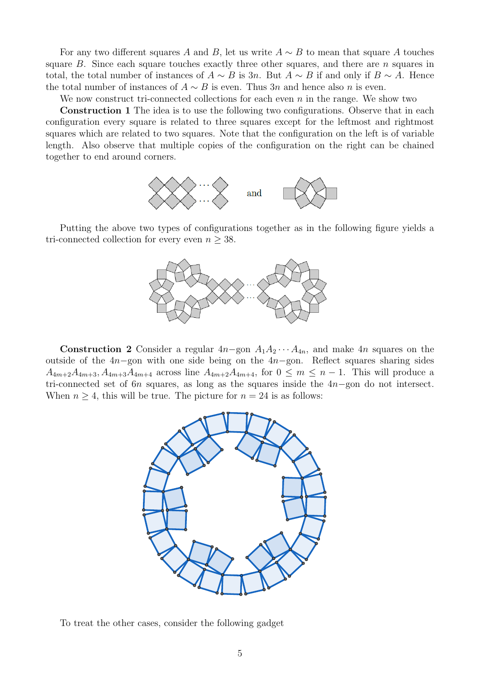For any two different squares A and B, let us write  $A \sim B$  to mean that square A touches square  $B$ . Since each square touches exactly three other squares, and there are  $n$  squares in total, the total number of instances of  $A \sim B$  is 3n. But  $A \sim B$  if and only if  $B \sim A$ . Hence the total number of instances of  $A \sim B$  is even. Thus 3n and hence also n is even.

We now construct tri-connected collections for each even  $n$  in the range. We show two

Construction 1 The idea is to use the following two configurations. Observe that in each configuration every square is related to three squares except for the leftmost and rightmost squares which are related to two squares. Note that the configuration on the left is of variable length. Also observe that multiple copies of the configuration on the right can be chained together to end around corners.



Putting the above two types of configurations together as in the following figure yields a tri-connected collection for every even  $n \geq 38$ .



Construction 2 Consider a regular  $4n$ -gon  $A_1A_2 \cdots A_{4n}$ , and make  $4n$  squares on the outside of the 4n−gon with one side being on the 4n−gon. Reflect squares sharing sides  $A_{4m+2}A_{4m+3}, A_{4m+3}A_{4m+4}$  across line  $A_{4m+2}A_{4m+4}$ , for  $0 \leq m \leq n-1$ . This will produce a tri-connected set of 6n squares, as long as the squares inside the 4n−gon do not intersect. When  $n \geq 4$ , this will be true. The picture for  $n = 24$  is as follows:



To treat the other cases, consider the following gadget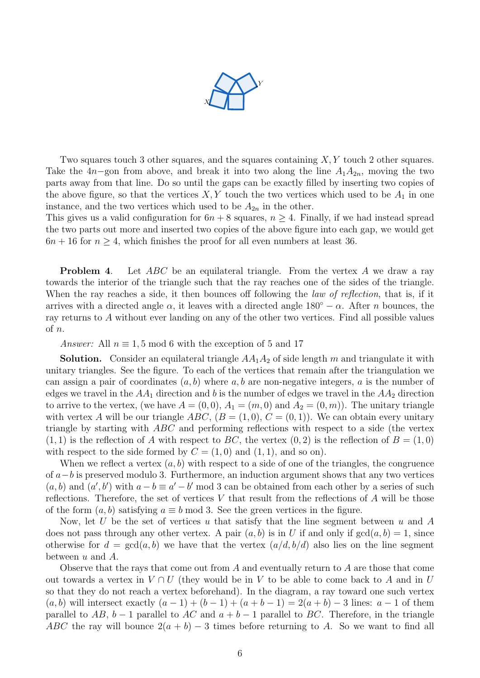

Two squares touch 3 other squares, and the squares containing  $X, Y$  touch 2 other squares. Take the 4n–gon from above, and break it into two along the line  $A_1A_{2n}$ , moving the two parts away from that line. Do so until the gaps can be exactly filled by inserting two copies of the above figure, so that the vertices  $X, Y$  touch the two vertices which used to be  $A_1$  in one instance, and the two vertices which used to be  $A_{2n}$  in the other.

This gives us a valid configuration for  $6n + 8$  squares,  $n \geq 4$ . Finally, if we had instead spread the two parts out more and inserted two copies of the above figure into each gap, we would get  $6n + 16$  for  $n \geq 4$ , which finishes the proof for all even numbers at least 36.

**Problem 4.** Let ABC be an equilateral triangle. From the vertex A we draw a ray towards the interior of the triangle such that the ray reaches one of the sides of the triangle. When the ray reaches a side, it then bounces off following the *law of reflection*, that is, if it arrives with a directed angle  $\alpha$ , it leaves with a directed angle 180<sup>°</sup> –  $\alpha$ . After *n* bounces, the ray returns to A without ever landing on any of the other two vertices. Find all possible values of n.

Answer: All  $n \equiv 1, 5 \mod 6$  with the exception of 5 and 17

**Solution.** Consider an equilateral triangle  $AA_1A_2$  of side length m and triangulate it with unitary triangles. See the figure. To each of the vertices that remain after the triangulation we can assign a pair of coordinates  $(a, b)$  where  $a, b$  are non-negative integers, a is the number of edges we travel in the  $AA_1$  direction and b is the number of edges we travel in the  $AA_2$  direction to arrive to the vertex, (we have  $A = (0,0), A_1 = (m,0)$  and  $A_2 = (0,m)$ ). The unitary triangle with vertex A will be our triangle ABC,  $(B = (1, 0), C = (0, 1))$ . We can obtain every unitary triangle by starting with ABC and performing reflections with respect to a side (the vertex  $(1, 1)$  is the reflection of A with respect to BC, the vertex  $(0, 2)$  is the reflection of  $B = (1, 0)$ with respect to the side formed by  $C = (1,0)$  and  $(1,1)$ , and so on).

When we reflect a vertex  $(a, b)$  with respect to a side of one of the triangles, the congruence of  $a-b$  is preserved modulo 3. Furthermore, an induction argument shows that any two vertices  $(a, b)$  and  $(a', b')$  with  $a - b \equiv a' - b' \mod 3$  can be obtained from each other by a series of such reflections. Therefore, the set of vertices V that result from the reflections of  $A$  will be those of the form  $(a, b)$  satisfying  $a \equiv b \mod 3$ . See the green vertices in the figure.

Now, let U be the set of vertices u that satisfy that the line segment between u and A does not pass through any other vertex. A pair  $(a, b)$  is in U if and only if  $gcd(a, b) = 1$ , since otherwise for  $d = \gcd(a, b)$  we have that the vertex  $(a/d, b/d)$  also lies on the line segment between  $u$  and  $A$ .

Observe that the rays that come out from A and eventually return to A are those that come out towards a vertex in  $V \cap U$  (they would be in V to be able to come back to A and in U so that they do not reach a vertex beforehand). In the diagram, a ray toward one such vertex  $(a, b)$  will intersect exactly  $(a - 1) + (b - 1) + (a + b - 1) = 2(a + b) - 3$  lines:  $a - 1$  of them parallel to  $AB$ ,  $b-1$  parallel to  $AC$  and  $a+b-1$  parallel to  $BC$ . Therefore, in the triangle ABC the ray will bounce  $2(a + b) - 3$  times before returning to A. So we want to find all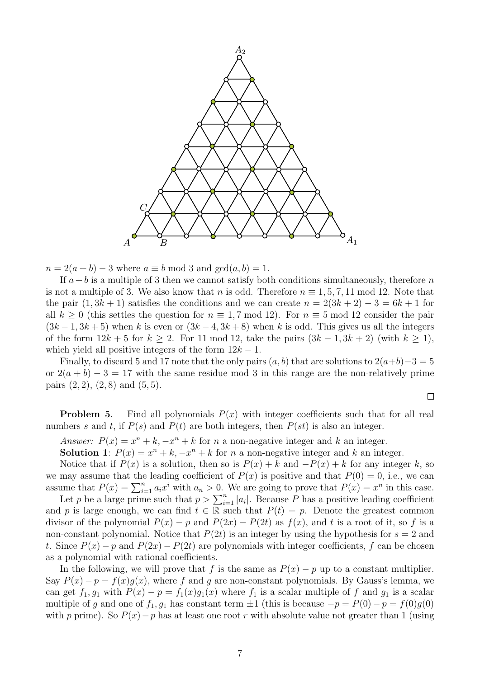

 $n = 2(a + b) - 3$  where  $a \equiv b \mod 3$  and  $gcd(a, b) = 1$ .

If  $a + b$  is a multiple of 3 then we cannot satisfy both conditions simultaneously, therefore n is not a multiple of 3. We also know that n is odd. Therefore  $n \equiv 1, 5, 7, 11 \mod 12$ . Note that the pair  $(1, 3k + 1)$  satisfies the conditions and we can create  $n = 2(3k + 2) - 3 = 6k + 1$  for all  $k > 0$  (this settles the question for  $n \equiv 1, 7 \mod 12$ ). For  $n \equiv 5 \mod 12$  consider the pair  $(3k-1, 3k+5)$  when k is even or  $(3k-4, 3k+8)$  when k is odd. This gives us all the integers of the form  $12k + 5$  for  $k \geq 2$ . For 11 mod 12, take the pairs  $(3k - 1, 3k + 2)$  (with  $k \geq 1$ ), which yield all positive integers of the form  $12k - 1$ .

Finally, to discard 5 and 17 note that the only pairs  $(a, b)$  that are solutions to  $2(a+b)-3=5$ or  $2(a + b) - 3 = 17$  with the same residue mod 3 in this range are the non-relatively prime pairs  $(2, 2), (2, 8)$  and  $(5, 5)$ .

$$
\qquad \qquad \Box
$$

**Problem 5.** Find all polynomials  $P(x)$  with integer coefficients such that for all real numbers s and t, if  $P(s)$  and  $P(t)$  are both integers, then  $P(st)$  is also an integer.

Answer:  $P(x) = x^n + k, -x^n + k$  for n a non-negative integer and k an integer.

**Solution 1**:  $P(x) = x^n + k$ ,  $-x^n + k$  for *n* a non-negative integer and *k* an integer.

Notice that if  $P(x)$  is a solution, then so is  $P(x) + k$  and  $-P(x) + k$  for any integer k, so we may assume that the leading coefficient of  $P(x)$  is positive and that  $P(0) = 0$ , i.e., we can assume that  $P(x) = \sum_{i=1}^{n} a_i x^i$  with  $a_n > 0$ . We are going to prove that  $P(x) = x^n$  in this case.

Let p be a large prime such that  $p > \sum_{i=1}^{n} |a_i|$ . Because P has a positive leading coefficient and p is large enough, we can find  $t \in \mathbb{R}$  such that  $P(t) = p$ . Denote the greatest common divisor of the polynomial  $P(x) - p$  and  $P(2x) - P(2t)$  as  $f(x)$ , and t is a root of it, so f is a non-constant polynomial. Notice that  $P(2t)$  is an integer by using the hypothesis for  $s = 2$  and t. Since  $P(x) - p$  and  $P(2x) - P(2t)$  are polynomials with integer coefficients, f can be chosen as a polynomial with rational coefficients.

In the following, we will prove that f is the same as  $P(x) - p$  up to a constant multiplier. Say  $P(x) - p = f(x)g(x)$ , where f and g are non-constant polynomials. By Gauss's lemma, we can get  $f_1, g_1$  with  $P(x) - p = f_1(x)g_1(x)$  where  $f_1$  is a scalar multiple of f and  $g_1$  is a scalar multiple of g and one of  $f_1, g_1$  has constant term  $\pm 1$  (this is because  $-p = P(0) - p = f(0)g(0)$ with p prime). So  $P(x) - p$  has at least one root r with absolute value not greater than 1 (using